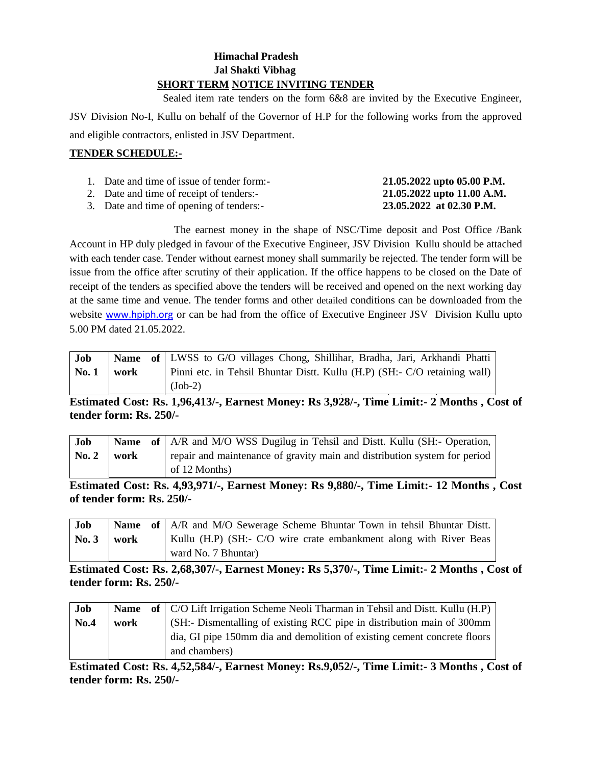## **Himachal Pradesh Jal Shakti Vibhag SHORT TERM NOTICE INVITING TENDER**

 Sealed item rate tenders on the form 6&8 are invited by the Executive Engineer, JSV Division No-I, Kullu on behalf of the Governor of H.P for the following works from the approved and eligible contractors, enlisted in JSV Department.

## **TENDER SCHEDULE:-**

| 1. Date and time of issue of tender form:- | 21.05.2022 upto 05.00 P.M. |
|--------------------------------------------|----------------------------|
| 2. Date and time of receipt of tenders:-   | 21.05.2022 upto 11.00 A.M. |
| 3. Date and time of opening of tenders:-   | 23.05.2022 at 02.30 P.M.   |

The earnest money in the shape of NSC/Time deposit and Post Office /Bank Account in HP duly pledged in favour of the Executive Engineer, JSV Division Kullu should be attached with each tender case. Tender without earnest money shall summarily be rejected. The tender form will be issue from the office after scrutiny of their application. If the office happens to be closed on the Date of receipt of the tenders as specified above the tenders will be received and opened on the next working day at the same time and venue. The tender forms and other detailed conditions can be downloaded from the website [www.hpiph.org](http://www.hpiph.org/) or can be had from the office of Executive Engineer JSV Division Kullu upto 5.00 PM dated 21.05.2022.

| Job          |      | <b>Name</b> of LWSS to G/O villages Chong, Shillihar, Bradha, Jari, Arkhandi Phatti |
|--------------|------|-------------------------------------------------------------------------------------|
| <b>No. 1</b> | work | Pinni etc. in Tehsil Bhuntar Distt. Kullu (H.P) (SH:- C/O retaining wall)           |
|              |      | $(Job-2)$                                                                           |

**Estimated Cost: Rs. 1,96,413/-, Earnest Money: Rs 3,928/-, Time Limit:- 2 Months , Cost of tender form: Rs. 250/-**

| Job                        |  | Name of   A/R and M/O WSS Dugilug in Tehsil and Distt. Kullu (SH:- Operation, |
|----------------------------|--|-------------------------------------------------------------------------------|
| $\vert$ No. 2 $\vert$ work |  | repair and maintenance of gravity main and distribution system for period     |
|                            |  | of 12 Months)                                                                 |

**Estimated Cost: Rs. 4,93,971/-, Earnest Money: Rs 9,880/-, Time Limit:- 12 Months , Cost of tender form: Rs. 250/-**

| Job                |  | <b>Name</b> of A/R and M/O Sewerage Scheme Bhuntar Town in tehsil Bhuntar Distt. |
|--------------------|--|----------------------------------------------------------------------------------|
| $\sqrt{60.3}$ work |  | Kullu (H.P) (SH:- C/O wire crate embankment along with River Beas                |
|                    |  | ward No. 7 Bhuntar)                                                              |

**Estimated Cost: Rs. 2,68,307/-, Earnest Money: Rs 5,370/-, Time Limit:- 2 Months , Cost of tender form: Rs. 250/-**

| Job         |      | Name of   C/O Lift Irrigation Scheme Neoli Tharman in Tehsil and Distt. Kullu (H.P) |
|-------------|------|-------------------------------------------------------------------------------------|
| <b>No.4</b> | work | (SH:- Dismentalling of existing RCC pipe in distribution main of 300mm)             |
|             |      | dia, GI pipe 150mm dia and demolition of existing cement concrete floors            |
|             |      | and chambers)                                                                       |

**Estimated Cost: Rs. 4,52,584/-, Earnest Money: Rs.9,052/-, Time Limit:- 3 Months , Cost of tender form: Rs. 250/-**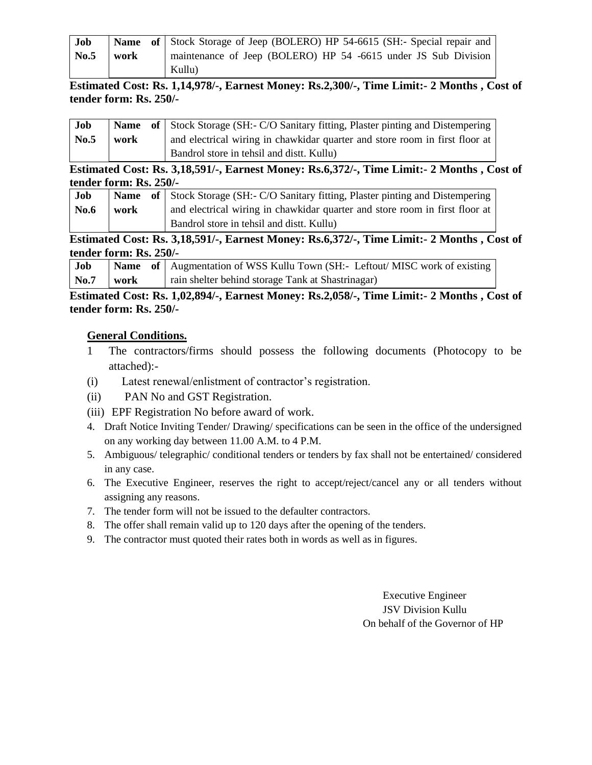| Job  |      | Name of   Stock Storage of Jeep (BOLERO) HP 54-6615 (SH:- Special repair and |
|------|------|------------------------------------------------------------------------------|
| No.5 | work | maintenance of Jeep (BOLERO) HP 54 -6615 under JS Sub Division               |
|      |      | Kullu)                                                                       |

# **Estimated Cost: Rs. 1,14,978/-, Earnest Money: Rs.2,300/-, Time Limit:- 2 Months , Cost of tender form: Rs. 250/-**

| Job  |      | <b>Name</b> of Stock Storage (SH:- C/O Sanitary fitting, Plaster pinting and Distempering |
|------|------|-------------------------------------------------------------------------------------------|
| No.5 | work | and electrical wiring in chawkidar quarter and store room in first floor at               |
|      |      | Bandrol store in tehsil and dist. Kullu                                                   |

**Estimated Cost: Rs. 3,18,591/-, Earnest Money: Rs.6,372/-, Time Limit:- 2 Months , Cost of tender form: Rs. 250/-**

| Job  |      | <b>Name</b> of Stock Storage (SH:- C/O Sanitary fitting, Plaster pinting and Distempering |
|------|------|-------------------------------------------------------------------------------------------|
| No.6 | work | and electrical wiring in chawkidar quarter and store room in first floor at               |
|      |      | Bandrol store in tehsil and dist. Kullu                                                   |

**Estimated Cost: Rs. 3,18,591/-, Earnest Money: Rs.6,372/-, Time Limit:- 2 Months , Cost of tender form: Rs. 250/-**

| Job                | <b>Name</b> of Augmentation of WSS Kullu Town (SH:- Leftout/MISC work of existing |
|--------------------|-----------------------------------------------------------------------------------|
| $\bf{No.7}$   work | rain shelter behind storage Tank at Shastrinagar)                                 |

# **Estimated Cost: Rs. 1,02,894/-, Earnest Money: Rs.2,058/-, Time Limit:- 2 Months , Cost of tender form: Rs. 250/-**

## **General Conditions.**

- 1 The contractors/firms should possess the following documents (Photocopy to be attached):-
- (i) Latest renewal/enlistment of contractor's registration.
- (ii) PAN No and GST Registration.
- (iii) EPF Registration No before award of work.
- 4. Draft Notice Inviting Tender/ Drawing/ specifications can be seen in the office of the undersigned on any working day between 11.00 A.M. to 4 P.M.
- 5. Ambiguous/ telegraphic/ conditional tenders or tenders by fax shall not be entertained/ considered in any case.
- 6. The Executive Engineer, reserves the right to accept/reject/cancel any or all tenders without assigning any reasons.
- 7. The tender form will not be issued to the defaulter contractors.
- 8. The offer shall remain valid up to 120 days after the opening of the tenders.
- 9. The contractor must quoted their rates both in words as well as in figures.

Executive Engineer JSV Division Kullu On behalf of the Governor of HP